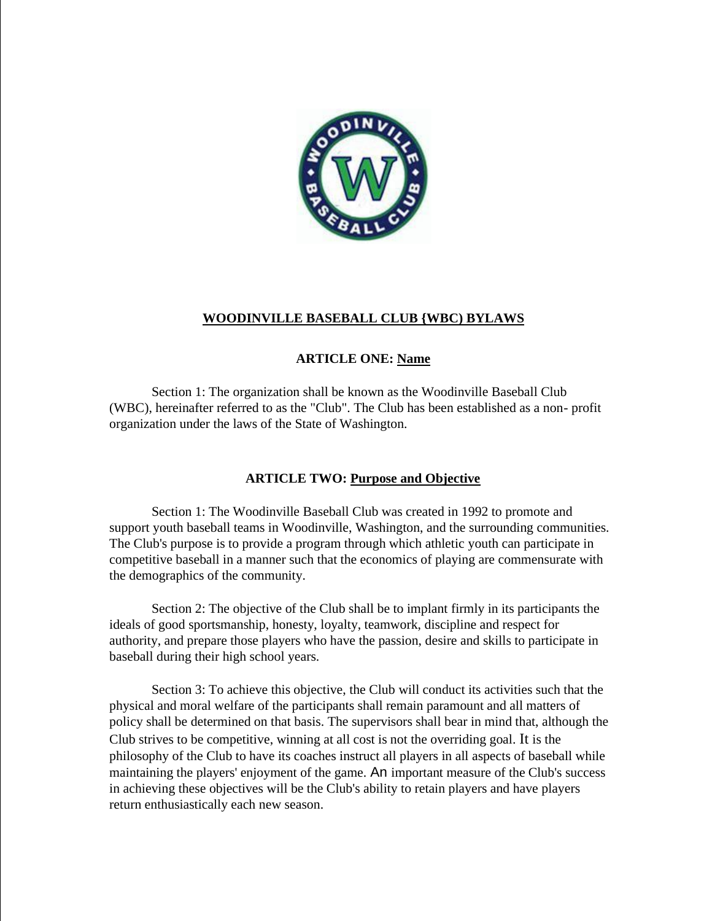

## **WOODINVILLE BASEBALL CLUB {WBC) BYLAWS**

## **ARTICLE ONE: Name**

Section 1: The organization shall be known as the Woodinville Baseball Club (WBC), hereinafter referred to as the "Club". The Club has been established as a non- profit organization under the laws of the State of Washington.

## **ARTICLE TWO: Purpose and Objective**

Section 1: The Woodinville Baseball Club was created in 1992 to promote and support youth baseball teams in Woodinville, Washington, and the surrounding communities. The Club's purpose is to provide a program through which athletic youth can participate in competitive baseball in a manner such that the economics of playing are commensurate with the demographics of the community.

Section 2: The objective of the Club shall be to implant firmly in its participants the ideals of good sportsmanship, honesty, loyalty, teamwork, discipline and respect for authority, and prepare those players who have the passion, desire and skills to participate in baseball during their high school years.

Section 3: To achieve this objective, the Club will conduct its activities such that the physical and moral welfare of the participants shall remain paramount and all matters of policy shall be determined on that basis. The supervisors shall bear in mind that, although the Club strives to be competitive, winning at all cost is not the overriding goal. It is the philosophy of the Club to have its coaches instruct all players in all aspects of baseball while maintaining the players' enjoyment of the game. An important measure of the Club's success in achieving these objectives will be the Club's ability to retain players and have players return enthusiastically each new season.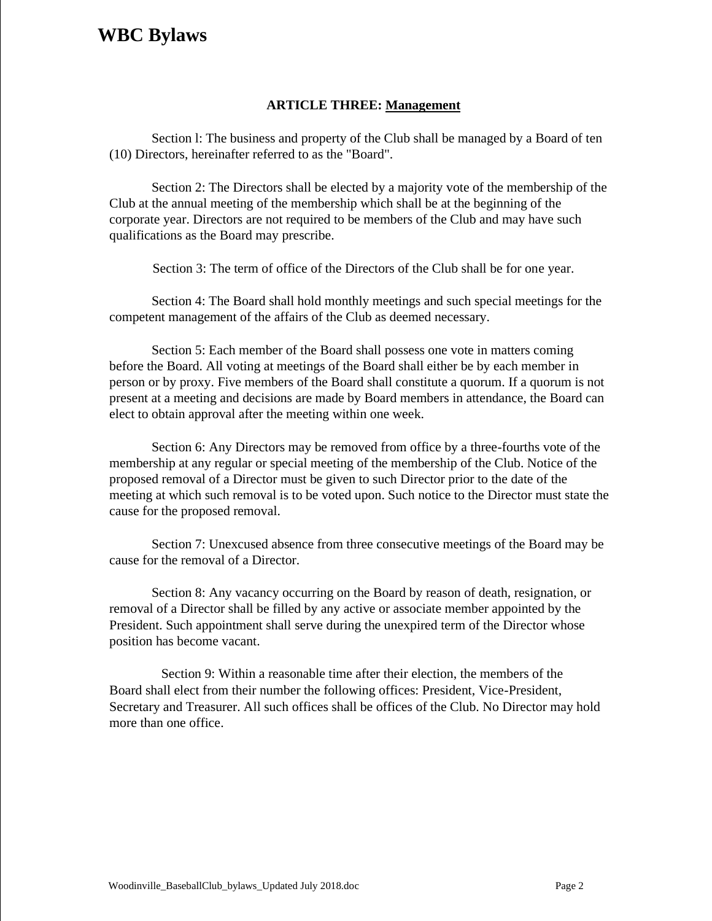## **ARTICLE THREE: Management**

Section l: The business and property of the Club shall be managed by a Board of ten (10) Directors, hereinafter referred to as the "Board".

Section 2: The Directors shall be elected by a majority vote of the membership of the Club at the annual meeting of the membership which shall be at the beginning of the corporate year. Directors are not required to be members of the Club and may have such qualifications as the Board may prescribe.

Section 3: The term of office of the Directors of the Club shall be for one year.

Section 4: The Board shall hold monthly meetings and such special meetings for the competent management of the affairs of the Club as deemed necessary.

Section 5: Each member of the Board shall possess one vote in matters coming before the Board. All voting at meetings of the Board shall either be by each member in person or by proxy. Five members of the Board shall constitute a quorum. If a quorum is not present at a meeting and decisions are made by Board members in attendance, the Board can elect to obtain approval after the meeting within one week.

Section 6: Any Directors may be removed from office by a three-fourths vote of the membership at any regular or special meeting of the membership of the Club. Notice of the proposed removal of a Director must be given to such Director prior to the date of the meeting at which such removal is to be voted upon. Such notice to the Director must state the cause for the proposed removal.

Section 7: Unexcused absence from three consecutive meetings of the Board may be cause for the removal of a Director.

Section 8: Any vacancy occurring on the Board by reason of death, resignation, or removal of a Director shall be filled by any active or associate member appointed by the President. Such appointment shall serve during the unexpired term of the Director whose position has become vacant.

Section 9: Within a reasonable time after their election, the members of the Board shall elect from their number the following offices: President, Vice-President, Secretary and Treasurer. All such offices shall be offices of the Club. No Director may hold more than one office.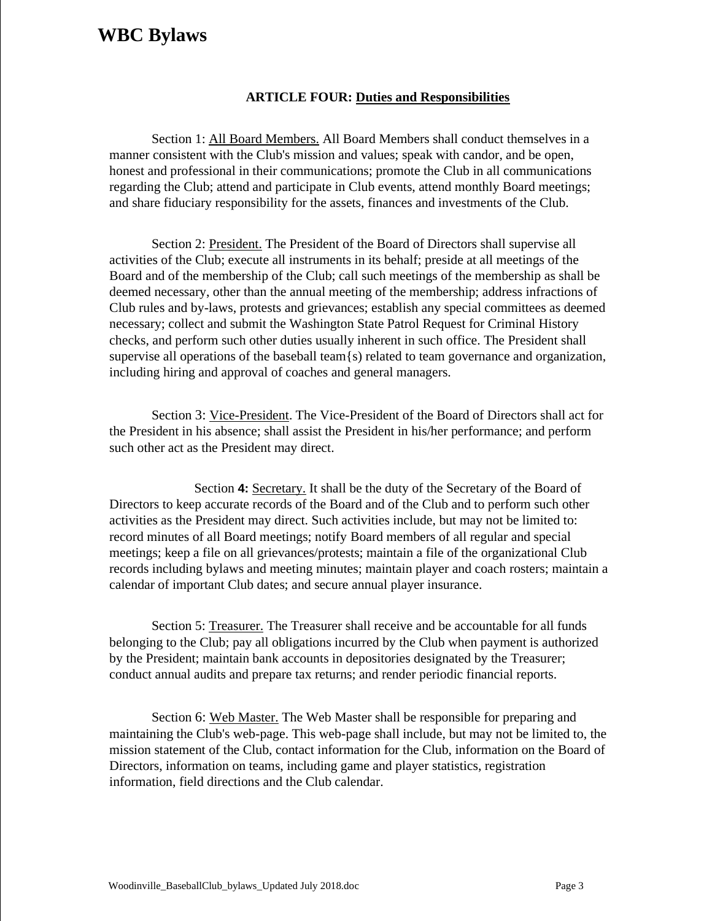## **ARTICLE FOUR: Duties and Responsibilities**

Section 1: All Board Members. All Board Members shall conduct themselves in a manner consistent with the Club's mission and values; speak with candor, and be open, honest and professional in their communications; promote the Club in all communications regarding the Club; attend and participate in Club events, attend monthly Board meetings; and share fiduciary responsibility for the assets, finances and investments of the Club.

Section 2: President. The President of the Board of Directors shall supervise all activities of the Club; execute all instruments in its behalf; preside at all meetings of the Board and of the membership of the Club; call such meetings of the membership as shall be deemed necessary, other than the annual meeting of the membership; address infractions of Club rules and by-laws, protests and grievances; establish any special committees as deemed necessary; collect and submit the Washington State Patrol Request for Criminal History checks, and perform such other duties usually inherent in such office. The President shall supervise all operations of the baseball team $\{s\}$  related to team governance and organization, including hiring and approval of coaches and general managers.

Section 3: Vice-President. The Vice-President of the Board of Directors shall act for the President in his absence; shall assist the President in his/her performance; and perform such other act as the President may direct.

Section **4:** Secretary. It shall be the duty of the Secretary of the Board of Directors to keep accurate records of the Board and of the Club and to perform such other activities as the President may direct. Such activities include, but may not be limited to: record minutes of all Board meetings; notify Board members of all regular and special meetings; keep a file on all grievances/protests; maintain a file of the organizational Club records including bylaws and meeting minutes; maintain player and coach rosters; maintain a calendar of important Club dates; and secure annual player insurance.

Section 5: Treasurer. The Treasurer shall receive and be accountable for all funds belonging to the Club; pay all obligations incurred by the Club when payment is authorized by the President; maintain bank accounts in depositories designated by the Treasurer; conduct annual audits and prepare tax returns; and render periodic financial reports.

Section 6: Web Master. The Web Master shall be responsible for preparing and maintaining the Club's web-page. This web-page shall include, but may not be limited to, the mission statement of the Club, contact information for the Club, information on the Board of Directors, information on teams, including game and player statistics, registration information, field directions and the Club calendar.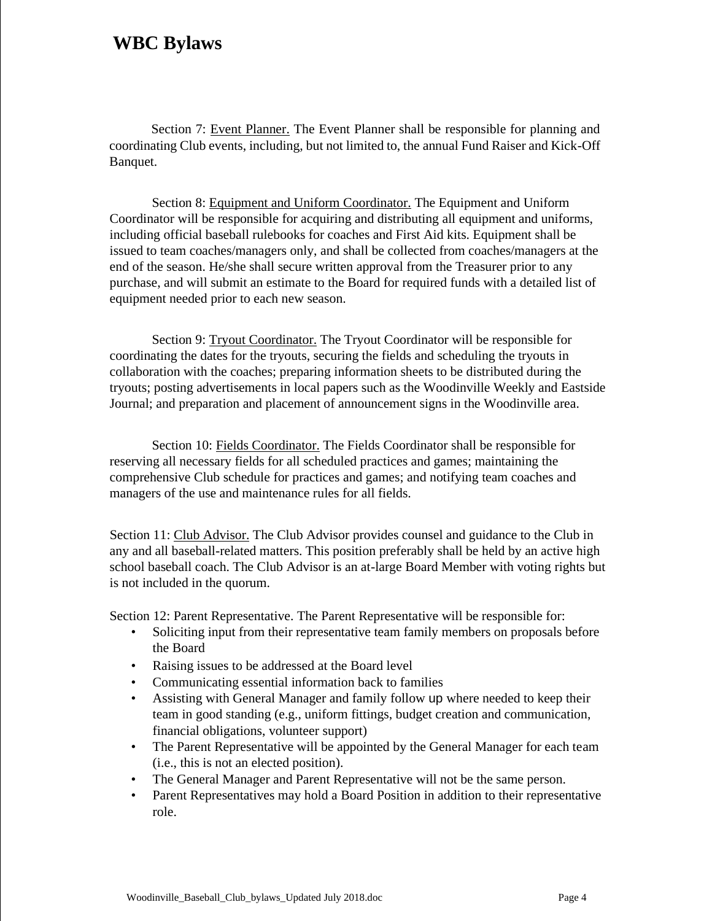Section 7: Event Planner. The Event Planner shall be responsible for planning and coordinating Club events, including, but not limited to, the annual Fund Raiser and Kick-Off Banquet.

Section 8: Equipment and Uniform Coordinator. The Equipment and Uniform Coordinator will be responsible for acquiring and distributing all equipment and uniforms, including official baseball rulebooks for coaches and First Aid kits. Equipment shall be issued to team coaches/managers only, and shall be collected from coaches/managers at the end of the season. He/she shall secure written approval from the Treasurer prior to any purchase, and will submit an estimate to the Board for required funds with a detailed list of equipment needed prior to each new season.

Section 9: Tryout Coordinator. The Tryout Coordinator will be responsible for coordinating the dates for the tryouts, securing the fields and scheduling the tryouts in collaboration with the coaches; preparing information sheets to be distributed during the tryouts; posting advertisements in local papers such as the Woodinville Weekly and Eastside Journal; and preparation and placement of announcement signs in the Woodinville area.

Section 10: Fields Coordinator. The Fields Coordinator shall be responsible for reserving all necessary fields for all scheduled practices and games; maintaining the comprehensive Club schedule for practices and games; and notifying team coaches and managers of the use and maintenance rules for all fields.

Section 11: Club Advisor. The Club Advisor provides counsel and guidance to the Club in any and all baseball-related matters. This position preferably shall be held by an active high school baseball coach. The Club Advisor is an at-large Board Member with voting rights but is not included in the quorum.

Section 12: Parent Representative. The Parent Representative will be responsible for:

- Soliciting input from their representative team family members on proposals before the Board
- Raising issues to be addressed at the Board level
- Communicating essential information back to families
- Assisting with General Manager and family follow up where needed to keep their team in good standing (e.g., uniform fittings, budget creation and communication, financial obligations, volunteer support)
- The Parent Representative will be appointed by the General Manager for each team (i.e., this is not an elected position).
- The General Manager and Parent Representative will not be the same person.
- Parent Representatives may hold a Board Position in addition to their representative role.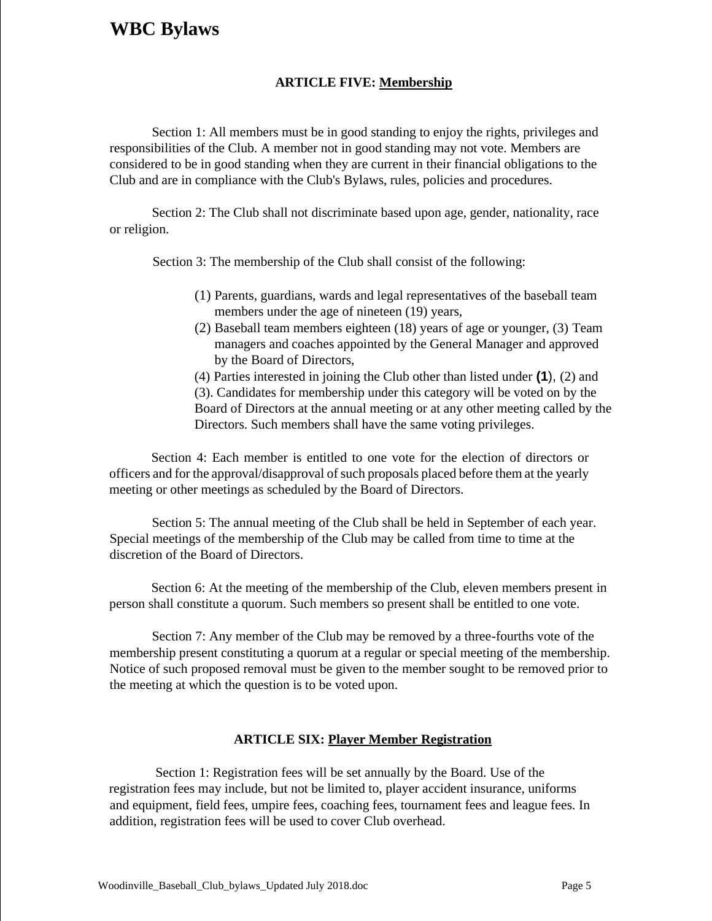## **ARTICLE FIVE: Membership**

Section 1: All members must be in good standing to enjoy the rights, privileges and responsibilities of the Club. A member not in good standing may not vote. Members are considered to be in good standing when they are current in their financial obligations to the Club and are in compliance with the Club's Bylaws, rules, policies and procedures.

Section 2: The Club shall not discriminate based upon age, gender, nationality, race or religion.

Section 3: The membership of the Club shall consist of the following:

- (1) Parents, guardians, wards and legal representatives of the baseball team members under the age of nineteen (19) years,
- (2) Baseball team members eighteen (18) years of age or younger, (3) Team managers and coaches appointed by the General Manager and approved by the Board of Directors,

(4) Parties interested in joining the Club other than listed under **(1**), (2) and (3). Candidates for membership under this category will be voted on by the Board of Directors at the annual meeting or at any other meeting called by the Directors. Such members shall have the same voting privileges.

Section 4: Each member is entitled to one vote for the election of directors or officers and for the approval/disapproval of such proposals placed before them at the yearly meeting or other meetings as scheduled by the Board of Directors.

Section 5: The annual meeting of the Club shall be held in September of each year. Special meetings of the membership of the Club may be called from time to time at the discretion of the Board of Directors.

Section 6: At the meeting of the membership of the Club, eleven members present in person shall constitute a quorum. Such members so present shall be entitled to one vote.

Section 7: Any member of the Club may be removed by a three-fourths vote of the membership present constituting a quorum at a regular or special meeting of the membership. Notice of such proposed removal must be given to the member sought to be removed prior to the meeting at which the question is to be voted upon.

### **ARTICLE SIX: Player Member Registration**

Section 1: Registration fees will be set annually by the Board. Use of the registration fees may include, but not be limited to, player accident insurance, uniforms and equipment, field fees, umpire fees, coaching fees, tournament fees and league fees. In addition, registration fees will be used to cover Club overhead.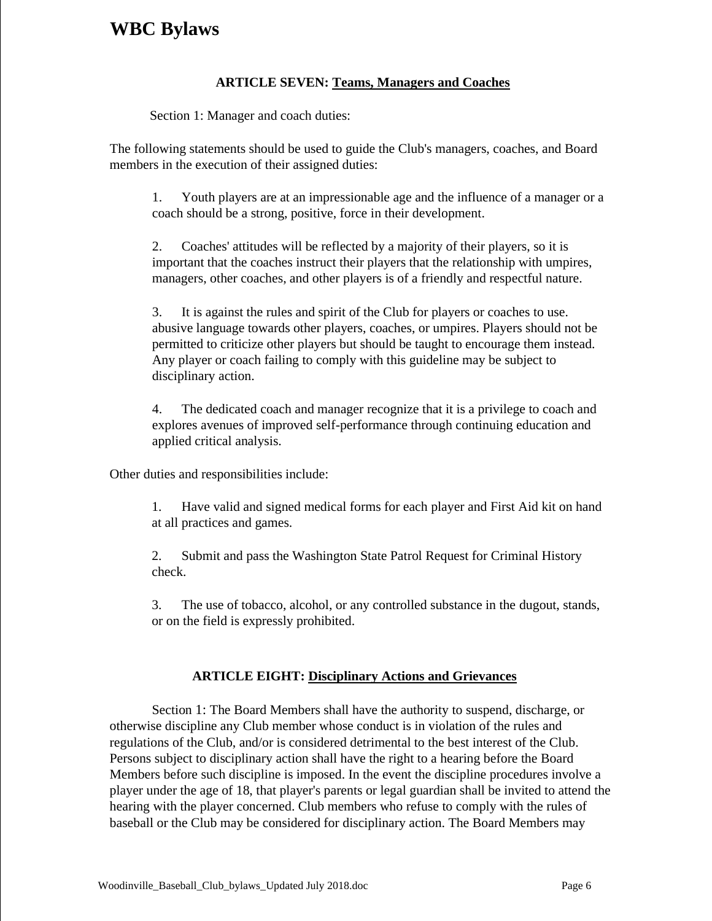## **ARTICLE SEVEN: Teams, Managers and Coaches**

Section 1: Manager and coach duties:

The following statements should be used to guide the Club's managers, coaches, and Board members in the execution of their assigned duties:

1. Youth players are at an impressionable age and the influence of a manager or a coach should be a strong, positive, force in their development.

2. Coaches' attitudes will be reflected by a majority of their players, so it is important that the coaches instruct their players that the relationship with umpires, managers, other coaches, and other players is of a friendly and respectful nature.

3. It is against the rules and spirit of the Club for players or coaches to use. abusive language towards other players, coaches, or umpires. Players should not be permitted to criticize other players but should be taught to encourage them instead. Any player or coach failing to comply with this guideline may be subject to disciplinary action.

4. The dedicated coach and manager recognize that it is a privilege to coach and explores avenues of improved self-performance through continuing education and applied critical analysis.

Other duties and responsibilities include:

1. Have valid and signed medical forms for each player and First Aid kit on hand at all practices and games.

2. Submit and pass the Washington State Patrol Request for Criminal History check.

3. The use of tobacco, alcohol, or any controlled substance in the dugout, stands, or on the field is expressly prohibited.

## **ARTICLE EIGHT: Disciplinary Actions and Grievances**

Section 1: The Board Members shall have the authority to suspend, discharge, or otherwise discipline any Club member whose conduct is in violation of the rules and regulations of the Club, and/or is considered detrimental to the best interest of the Club. Persons subject to disciplinary action shall have the right to a hearing before the Board Members before such discipline is imposed. In the event the discipline procedures involve a player under the age of 18, that player's parents or legal guardian shall be invited to attend the hearing with the player concerned. Club members who refuse to comply with the rules of baseball or the Club may be considered for disciplinary action. The Board Members may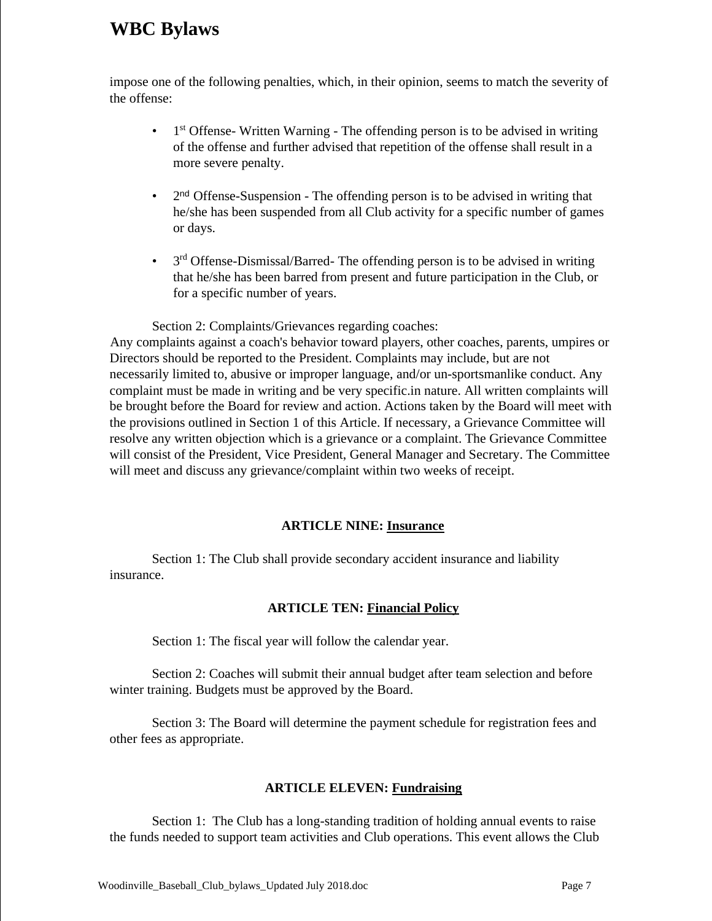impose one of the following penalties, which, in their opinion, seems to match the severity of the offense:

- $\bullet$  1<sup>st</sup> Offense-Written Warning The offending person is to be advised in writing of the offense and further advised that repetition of the offense shall result in a more severe penalty.
- 2  $2<sup>nd</sup>$  Offense-Suspension - The offending person is to be advised in writing that he/she has been suspended from all Club activity for a specific number of games or days.
- $\bullet$  3<sup>rd</sup> Offense-Dismissal/Barred- The offending person is to be advised in writing that he/she has been barred from present and future participation in the Club, or for a specific number of years.

Section 2: Complaints/Grievances regarding coaches:

Any complaints against a coach's behavior toward players, other coaches, parents, umpires or Directors should be reported to the President. Complaints may include, but are not necessarily limited to, abusive or improper language, and/or un-sportsmanlike conduct. Any complaint must be made in writing and be very specific.in nature. All written complaints will be brought before the Board for review and action. Actions taken by the Board will meet with the provisions outlined in Section 1 of this Article. If necessary, a Grievance Committee will resolve any written objection which is a grievance or a complaint. The Grievance Committee will consist of the President, Vice President, General Manager and Secretary. The Committee will meet and discuss any grievance/complaint within two weeks of receipt.

## **ARTICLE NINE: Insurance**

Section 1: The Club shall provide secondary accident insurance and liability insurance.

## **ARTICLE TEN: Financial Policy**

Section 1: The fiscal year will follow the calendar year.

Section 2: Coaches will submit their annual budget after team selection and before winter training. Budgets must be approved by the Board.

Section 3: The Board will determine the payment schedule for registration fees and other fees as appropriate.

## **ARTICLE ELEVEN: Fundraising**

Section 1: The Club has a long-standing tradition of holding annual events to raise the funds needed to support team activities and Club operations. This event allows the Club